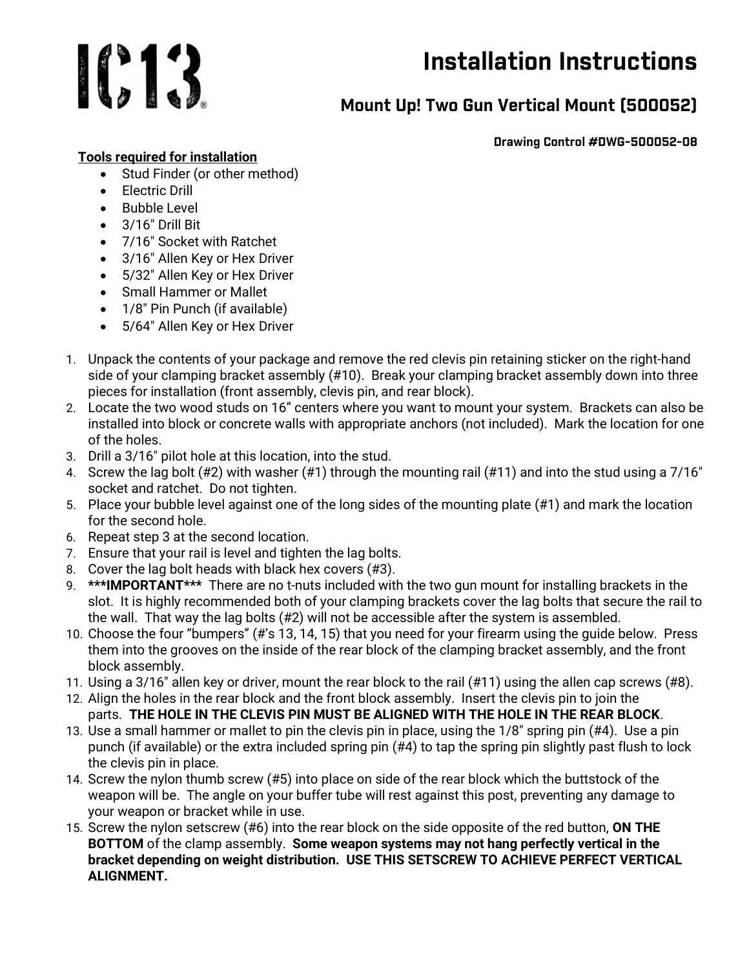

## Installation Instructions

## Mount Up! Two Gun Vertical Mount (500052)

Drawing Control #DWG-500052-08

## Tools required for installation

- Stud Finder (or other method)
- **•** Flectric Drill
- Bubble Level
- $\bullet$  3/16" Drill Bit
- 7/16" Socket with Ratchet
- 3/16″ Allen Key or Hex Driver
- 5/32″ Allen Key or Hex Driver
- Small Hammer or Mallet
- 1/8" Pin Punch (if available)
- 5/64″ Allen Key or Hex Driver
- 1. Unpack the contents of your package and remove the red clevis pin retaining sticker on the right-hand side of your clamping bracket assembly (#10). Break your clamping bracket assembly down into three pieces for installation (front assembly, clevis pin, and rear block).
- 2. Locate the two wood studs on 16" centers where you want to mount your system. Brackets can also be installed into block or concrete walls with appropriate anchors (not included). Mark the location for one of the holes.
- 3. Drill a 3/16″ pilot hole at this location, into the stud.
- 4. Screw the lag bolt (#2) with washer (#1) through the mounting rail (#11) and into the stud using a 7/16″ socket and ratchet. Do not tighten.
- 5. Place your bubble level against one of the long sides of the mounting plate (#1) and mark the location for the second hole.
- 6. Repeat step 3 at the second location.
- 7. Ensure that your rail is level and tighten the lag bolts.
- 8. Cover the lag bolt heads with black hex covers (#3).
- 9. \*\*\*IMPORTANT\*\*\* There are no t-nuts included with the two gun mount for installing brackets in the slot. It is highly recommended both of your clamping brackets cover the lag bolts that secure the rail to the wall. That way the lag bolts (#2) will not be accessible after the system is assembled.
- 10. Choose the four "bumpers" (#'s 13, 14, 15) that you need for your firearm using the guide below. Press them into the grooves on the inside of the rear block of the clamping bracket assembly, and the front block assembly.
- 11. Using a 3/16″ allen key or driver, mount the rear block to the rail (#11) using the allen cap screws (#8).
- 12. Align the holes in the rear block and the front block assembly. Insert the clevis pin to join the parts. THE HOLE IN THE CLEVIS PIN MUST BE ALIGNED WITH THE HOLE IN THE REAR BLOCK.
- 13. Use a small hammer or mallet to pin the clevis pin in place, using the 1/8″ spring pin (#4). Use a pin punch (if available) or the extra included spring pin (#4) to tap the spring pin slightly past flush to lock the clevis pin in place.
- 14. Screw the nylon thumb screw (#5) into place on side of the rear block which the buttstock of the weapon will be. The angle on your buffer tube will rest against this post, preventing any damage to your weapon or bracket while in use.
- 15. Screw the nylon setscrew (#6) into the rear block on the side opposite of the red button, ON THE BOTTOM of the clamp assembly. Some weapon systems may not hang perfectly vertical in the bracket depending on weight distribution. USE THIS SETSCREW TO ACHIEVE PERFECT VERTICAL ALIGNMENT.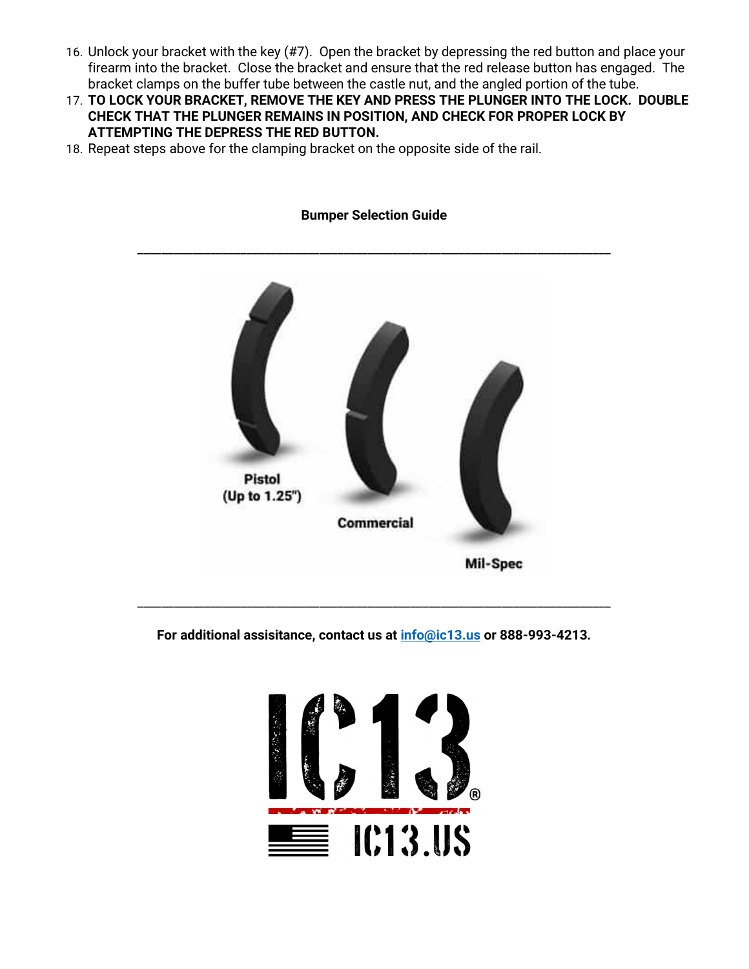- 16. Unlock your bracket with the key (#7). Open the bracket by depressing the red button and place your firearm into the bracket. Close the bracket and ensure that the red release button has engaged. The bracket clamps on the buffer tube between the castle nut, and the angled portion of the tube.
- 17. TO LOCK YOUR BRACKET, REMOVE THE KEY AND PRESS THE PLUNGER INTO THE LOCK. DOUBLE CHECK THAT THE PLUNGER REMAINS IN POSITION, AND CHECK FOR PROPER LOCK BY ATTEMPTING THE DEPRESS THE RED BUTTON.
- 18. Repeat steps above for the clamping bracket on the opposite side of the rail.



For additional assisitance, contact us at **info@ic13.us** or 888-993-4213.



## Bumper Selection Guide